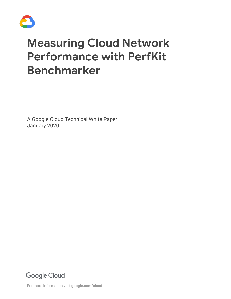

# **Measuring Cloud Network Performance with PerfKit Benchmarker**

A Google Cloud Technical White Paper January 2020

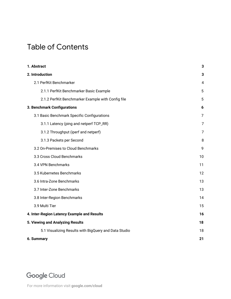# Table of Contents

| 1. Abstract                                           | 3  |  |  |  |  |  |
|-------------------------------------------------------|----|--|--|--|--|--|
| 2. Introduction                                       | 3  |  |  |  |  |  |
| 2.1 PerfKit Benchmarker                               | 4  |  |  |  |  |  |
| 2.1.1 PerfKit Benchmarker Basic Example               | 5  |  |  |  |  |  |
| 2.1.2 PerfKit Benchmarker Example with Config file    | 5  |  |  |  |  |  |
| 3. Benchmark Configurations                           |    |  |  |  |  |  |
| 3.1 Basic Benchmark Specific Configurations           | 7  |  |  |  |  |  |
| 3.1.1 Latency (ping and netperf TCP_RR)               | 7  |  |  |  |  |  |
| 3.1.2 Throughput (iperf and netperf)                  | 7  |  |  |  |  |  |
| 3.1.3 Packets per Second                              | 8  |  |  |  |  |  |
| 3.2 On-Premises to Cloud Benchmarks                   | 9  |  |  |  |  |  |
| 3.3 Cross Cloud Benchmarks                            | 10 |  |  |  |  |  |
| 3.4 VPN Benchmarks                                    | 11 |  |  |  |  |  |
| 3.5 Kubernetes Benchmarks                             | 12 |  |  |  |  |  |
| 3.6 Intra-Zone Benchmarks                             | 13 |  |  |  |  |  |
| 3.7 Inter-Zone Benchmarks                             | 13 |  |  |  |  |  |
| 3.8 Inter-Region Benchmarks                           | 14 |  |  |  |  |  |
| 3.9 Multi Tier                                        | 15 |  |  |  |  |  |
| 4. Inter-Region Latency Example and Results           |    |  |  |  |  |  |
| 5. Viewing and Analyzing Results                      |    |  |  |  |  |  |
| 5.1 Visualizing Results with BigQuery and Data Studio | 18 |  |  |  |  |  |
| 6. Summary                                            | 21 |  |  |  |  |  |

# Google Cloud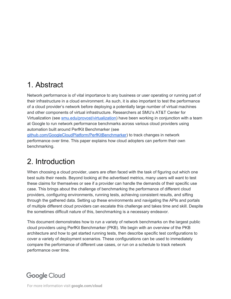# <span id="page-2-0"></span>1. Abstract

Network performance is of vital importance to any business or user operating or running part of their infrastructure in a cloud environment. As such, it is also important to test the performance of a cloud provider's network before deploying a potentially large number of virtual machines and other components of virtual infrastructure. Researchers at SMU's AT&T Center for Virtualization (see [smu.edu/provost/virtualization\)](http://www.smu.edu/provost/virtualization) have been working in conjunction with a team at Google to run network performance benchmarks across various cloud providers using automation built around PerfKit Benchmarker (see

[github.com/GoogleCloudPlatform/PerfKitBenchmarker](https://github.com/GoogleCloudPlatform/PerfKitBenchmarker)) to track changes in network performance over time. This paper explains how cloud adopters can perform their own benchmarking.

# <span id="page-2-1"></span>2. Introduction

When choosing a cloud provider, users are often faced with the task of figuring out which one best suits their needs. Beyond looking at the advertised metrics, many users will want to test these claims for themselves or see if a provider can handle the demands of their specific use case. This brings about the challenge of benchmarking the performance of different cloud providers, configuring environments, running tests, achieving consistent results, and sifting through the gathered data. Setting up these environments and navigating the APIs and portals of multiple different cloud providers can escalate this challenge and takes time and skill. Despite the sometimes difficult nature of this, benchmarking is a necessary endeavor.

This document demonstrates how to run a variety of network benchmarks on the largest public cloud providers using PerfKit Benchmarker (PKB). We begin with an overview of the PKB architecture and how to get started running tests, then describe specific test configurations to cover a variety of deployment scenarios. These configurations can be used to immediately compare the performance of different use cases, or run on a schedule to track network performance over time.

# **Google Cloud**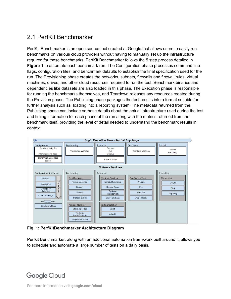### <span id="page-3-0"></span>2.1 PerfKit Benchmarker

PerfKit Benchmarker is an open source tool created at Google that allows users to easily run benchmarks on various cloud providers without having to manually set up the infrastructure required for those benchmarks. PerfKit Benchmarker follows the 5 step process detailed in **Figure 1** to automate each benchmark run. The Configuration phase processes command line flags, configuration files, and benchmark defaults to establish the final specification used for the run. The Provisioning phase creates the networks, subnets, firewalls and firewall rules, virtual machines, drives, and other cloud resources required to run the test. Benchmark binaries and dependencies like datasets are also loaded in this phase. The Execution phase is responsible for running the benchmarks themselves, and Teardown releases any resources created during the Provision phase. The Publishing phase packages the test results into a format suitable for further analysis such as loading into a reporting system. The metadata returned from the Publishing phase can include verbose details about the actual infrastructure used during the test and timing information for each phase of the run along with the metrics returned from the benchmark itself, providing the level of detail needed to understand the benchmark results in context.



**Fig. 1: PerfKitBenchmarker Architecture Diagram**

Perfkit Benchmarker, along with an additional automation framework built around it, allows you to schedule and automate a large number of tests on a daily basis.

### **Google Cloud**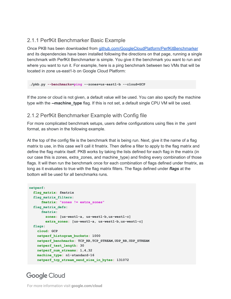#### <span id="page-4-0"></span>2.1.1 PerfKit Benchmarker Basic Example

Once PKB has been downloaded from [github.com/GoogleCloudPlatform/PerfKitBenchmarker](https://github.com/GoogleCloudPlatform/PerfKitBenchmarker) and its dependencies have been installed following the directions on that page, running a single benchmark with PerfKit Benchmarker is simple. You give it the benchmark you want to run and where you want to run it. For example, here is a ping benchmark between two VMs that will be located in zone us-east1-b on Google Cloud Platform:

**./pkb.py --benchmarks=ping --zones=us-east1-b --cloud=GCP**

If the zone or cloud is not given, a default value will be used. You can also specify the machine type with the **--machine\_type** flag. If this is not set, a default single CPU VM will be used.

#### <span id="page-4-1"></span>2.1.2 PerfKit Benchmarker Example with Config file

For more complicated benchmark setups, users define configurations using files in the .yaml format, as shown in the following example.

At the top of the config file is the benchmark that is being run. Next, give it the name of a flag matrix to use, in this case we'll call it fmatrix. Then define a filter to apply to the flag matrix and define the flag matrix itself. PKB works by taking the lists defined for each flag in the matrix (in our case this is zones, extra\_zones, and machine\_type) and finding every combination of those flags. It will then run the benchmark once for each combination of flags defined under fmatrix, as long as it evaluates to true with the flag matrix filters. The flags defined under *flags* at the bottom will be used for all benchmarks runs.

```
netperf:
  flag_matrix: fmatrix
   flag_matrix_filters:
       fmatrix: "zones != extra_zones"
   flag_matrix_defs:
       fmatrix:
         zones: [us-west1-a, us-west1-b,us-west1-c]
        extra_zones: [us-west1-a, us-west1-b,us-west1-c]
   flags:
     cloud: GCP
     netperf_histogram_buckets: 1000
     netperf_benchmarks: TCP_RR,TCP_STREAM,UDP_RR,UDP_STREAM
    netperf_test_length: 30
    netperf_num_streams: 1,4,32
    machine_type: n1-standard-16
     netperf_tcp_stream_send_size_in_bytes: 131072
```
### **Google Cloud**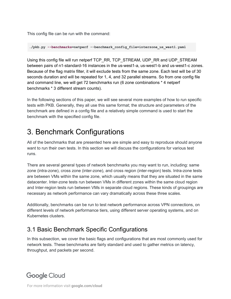This config file can be run with the command:

**./pkb.py --benchmarks=netperf --benchmark\_config\_file=interzone\_us\_west1.yaml**

Using this config file will run netperf TCP\_RR, TCP\_STREAM, UDP\_RR and UDP\_STREAM between pairs of n1-standard-16 instances in the us-west1-a, us-west1-b and us-west1-c zones. Because of the flag matrix filter, it will exclude tests from the same zone. Each test will be of 30 seconds duration and will be repeated for 1, 4, and 32 parallel streams. So from one config file and command line, we will get 72 benchmarks run (6 zone combinations \* 4 netperf benchmarks \* 3 different stream counts).

In the following sections of this paper, we will see several more examples of how to run specific tests with PKB. Generally, they all use this same format; the structure and parameters of the benchmark are defined in a config file and a relatively simple command is used to start the benchmark with the specified config file.

# <span id="page-5-0"></span>3. Benchmark Configurations

All of the benchmarks that are presented here are simple and easy to reproduce should anyone want to run their own tests. In this section we will discuss the configurations for various test runs.

There are several general types of network benchmarks you may want to run, including: same zone (intra-zone), cross zone (inter-zone), and cross region (inter-region) tests. Intra-zone tests are between VMs within the same zone, which usually means that they are situated in the same datacenter. Inter-zone tests run between VMs in different zones within the same cloud region and Inter-region tests run between VMs in separate cloud regions. These kinds of groupings are necessary as network performance can vary dramatically across these three scales.

Additionally, benchmarks can be run to test network performance across VPN connections, on different levels of network performance tiers, using different server operating systems, and on Kubernetes clusters.

### <span id="page-5-1"></span>3.1 Basic Benchmark Specific Configurations

In this subsection, we cover the basic flags and configurations that are most commonly used for network tests. These benchmarks are fairly standard and used to gather metrics on latency, throughput, and packets per second.

# **Google Cloud**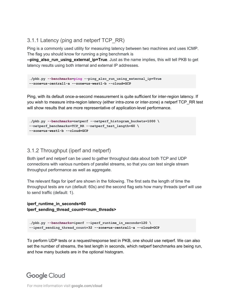#### <span id="page-6-0"></span>3.1.1 Latency (ping and netperf TCP\_RR)

Ping is a commonly used utility for measuring latency between two machines and uses ICMP. The flag you should know for running a ping benchmark is

**--ping\_also\_run\_using\_external\_ip=True**. Just as the name implies, this will tell PKB to get latency results using both internal and external IP addresses.

```
./pkb.py --benchmarks=ping --ping_also_run_using_external_ip=True
--zone=us-central1-a --zone=us-west1-b --cloud=GCP
```
Ping, with its default once-a-second measurement is quite sufficient for inter-region latency. If you wish to measure intra-region latency (either intra-zone or inter-zone) a netperf TCP\_RR test will show results that are more representative of application-level performance.

```
./pkb.py --benchmarks=netperf --netperf_histogram_buckets=1000 \
--netperf_benchmarks=TCP_RR --netperf_test_length=60 \
--zone=us-west1-b --cloud=GCP
```
#### <span id="page-6-1"></span>3.1.2 Throughput (iperf and netperf)

Both iperf and netperf can be used to gather throughput data about both TCP and UDP connections with various numbers of parallel streams, so that you can test single stream throughput performance as well as aggregate.

The relevant flags for iperf are shown in the following. The first sets the length of time the throughput tests are run (default: 60s) and the second flag sets how many threads iperf will use to send traffic (default: 1).

#### **iperf\_runtime\_in\_seconds=60 Iperf\_sending\_thread\_count=<num\_threads>**

```
./pkb.py --benchmarks=iperf --iperf_runtime_in_seconds=120 \
--iperf_sending_thread_count=32 --zone=us-central1-a --cloud=GCP
```
To perform UDP tests or a request/response test in PKB, one should use netperf. We can also set the number of streams, the test length in seconds, which netperf benchmarks are being run, and how many buckets are in the optional histogram.

# **Google Cloud**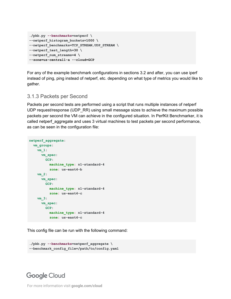```
./pkb.py --benchmarks=netperf \
--netperf_histogram_buckets=1000 \
--netperf_benchmarks=TCP_STREAM,UDP_STREAM \
--netperf_test_length=30 \
--netperf_num_streams=4 \
--zone=us-central1-a --cloud=GCP
```
For any of the example benchmark configurations in sections 3.2 and after, you can use iperf instead of ping, ping instead of netperf, etc. depending on what type of metrics you would like to gather.

#### <span id="page-7-0"></span>3.1.3 Packets per Second

Packets per second tests are performed using a script that runs multiple instances of netperf UDP request/response (UDP\_RR) using small message sizes to achieve the maximum possible packets per second the VM can achieve in the configured situation. In PerfKit Benchmarker, it is called netperf\_aggregate and uses 3 virtual machines to test packets per second performance, as can be seen in the configuration file:

```
netperf_aggregate:
   vm_groups:
     vm_1:
       vm_spec:
         GCP:
          machine_type: n1-standard-4
           zone: us-east4-b
     vm_2:
       vm_spec:
         GCP:
          machine_type: n1-standard-4
           zone: us-east4-c
     vm_3:
       vm_spec:
         GCP:
           machine_type: n1-standard-4
           zone: us-east4-c
```
This config file can be run with the following command:

```
./pkb.py --benchmarks=netperf_aggregate \
--benchmark_config_file=/path/to/config.yaml
```
### **Google Cloud**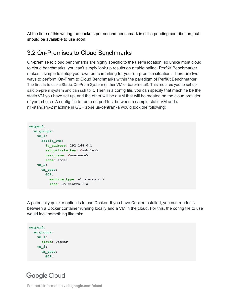At the time of this writing the packets per second benchmark is still a pending contribution, but should be available to use soon.

### <span id="page-8-0"></span>3.2 On-Premises to Cloud Benchmarks

On-premise to cloud benchmarks are highly specific to the user's location, so unlike most cloud to cloud benchmarks, you can't simply look up results on a table online. PerfKit Benchmarker makes it simple to setup your own benchmarking for your on-premise situation. There are two ways to perform On-Prem to Cloud Benchmarks within the paradigm of PerfKit Benchmarker. The first is to use a Static, On-Prem System (either VM or bare-metal). This requires you to set up said on-prem system and can ssh to it. Then in a config file, you can specify that machine be the static VM you have set up, and the other will be a VM that will be created on the cloud provider of your choice. A config file to run a netperf test between a sample static VM and a n1-standard-2 machine in GCP zone us-central1-a would look the following:

```
netperf:
  vm_groups:
    vm_1:
      static_vms:
        ip_address: 192.168.0.1
      ssh private key: <ssh key>
        user_name: <username>
        zone: local
    vm_2:
      vm_spec:
       GCP:
          machine_type: n1-standard-2
           zone: us-central1-a
```
A potentially quicker option is to use Docker. If you have Docker installed, you can run tests between a Docker container running locally and a VM in the cloud. For this, the config file to use would look something like this:

```
netperf:
  vm_groups:
    vm_1:
      cloud: Docker
    vm_2:
      vm_spec:
        GCP:
```
# **Google Cloud**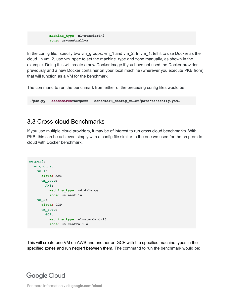```
 machine_type: n1-standard-2
 zone: us-central1-a
```
In the config file, specify two vm\_groups: vm\_1 and vm\_2. In vm\_1, tell it to use Docker as the cloud. In vm\_2, use vm\_spec to set the machine\_type and zone manually, as shown in the example. Doing this will create a new Docker image if you have not used the Docker provider previously and a new Docker container on your local machine (wherever you execute PKB from) that will function as a VM for the benchmark.

The command to run the benchmark from either of the preceding config files would be

```
./pkb.py --benchmarks=netperf --benchmark_config_file=/path/to/config.yaml
```
#### <span id="page-9-0"></span>3.3 Cross-cloud Benchmarks

If you use multiple cloud providers, it may be of interest to run cross cloud benchmarks. With PKB, this can be achieved simply with a config file similar to the one we used for the on prem to cloud with Docker benchmark.

```
netperf:
  vm_groups:
    vm_1:
       cloud: AWS
       vm_spec:
         AWS:
          machine_type: m4.4xlarge
           zone: us-east-1a
     vm_2:
       cloud: GCP
       vm_spec:
         GCP:
           machine_type: n1-standard-16
           zone: us-central1-a
```
This will create one VM on AWS and another on GCP with the specified machine types in the specified zones and run netperf between them. The command to run the benchmark would be:

### **Google Cloud**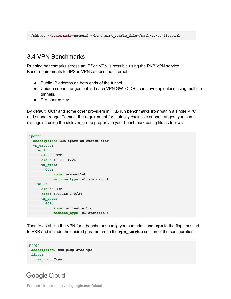#### <span id="page-10-0"></span>3.4 VPN Benchmarks

Running benchmarks across an IPSec VPN is possible using the PKB VPN service. Base requirements for IPSec VPNs across the Internet:

- Public IP address on both ends of the tunnel.
- Unique subnet ranges behind each VPN GW. CIDRs can't overlap unless using multiple tunnels.
- Pre-shared key

By default, GCP and some other providers in PKB run benchmarks from within a single VPC and subnet range. To meet the requirement for mutually exclusive subnet ranges, you can distinguish using the **cidr** vm\_group property in your benchmark config file as follows:

```
iperf:
  description: Run iperf on custom cidr
  vm_groups:
   vm_1:
     cloud: GCP
    cidr: 10.0.1.0/24
    vm_spec:
    GCP:
    zone: us-west1-b
    machine_type: n1-standard-4
  vm_2:
    cloud: GCP
     cidr: 192.168.1.0/24
    vm_spec:
      GCP:
       zone: us-central1-c
           machine_type: n1-standard-4
```
Then to establish the VPN for a benchmark config you can add --**use\_vpn** to the flags passed to PKB and include the desired parameters to the **vpn\_service** section of the configuration:

```
ping:
  description: Run ping over vpn
  flags:
   use_vpn: True
```
#### **Google Cloud**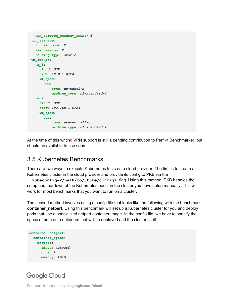```
 vpn_service_gateway_count: 1
 vpn_service:
  tunnel_count: 2
  ike_version: 2
  routing_type: static
 vm_groups:
  vm_1:
    cloud: GCP
    cidr: 10.0.1.0/24
    vm_spec:
      GCP:
          zone: us-west1-b
          machine_type: n1-standard-4
  vm_2:
    cloud: GCP
    cidr: 192.168.1.0/24
    vm_spec:
      GCP:
          zone: us-central1-c
           machine_type: n1-standard-4
```
At the time of this writing VPN support is still a pending contribution to PerfKit Benchmarker, but should be available to use soon.

#### <span id="page-11-0"></span>3.5 Kubernetes Benchmarks

There are two ways to execute Kubernetes tests on a cloud provider. The first is to create a Kubernetes cluster in the cloud provider and provide its config to PKB via the **--kubeconfig=</path/to/.kube/config>** flag. Using this method, PKB handles the setup and teardown of the Kubernetes pods, in the cluster you have setup manually. This will work for most benchmarks that you want to run on a cluster.

The second method involves using a config file that looks like the following with the benchmark **container netperf**. Using this benchmark will set up a Kubernetes cluster for you and deploy pods that use a specialized netperf container image. In the config file, we have to specify the specs of both our containers that will be deployed and the cluster itself.

```
container_netperf:
  container_specs:
    netperf:
      image: netperf
     cpus: 2
      memory: 4GiB
```
### **Google Cloud**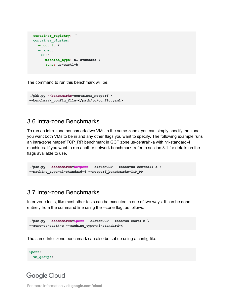```
 container_registry: {}
 container_cluster:
   vm_count: 2
  vm_spec:
    GCP:
       machine_type: n1-standard-4
      zone: us-east1-b
```
The command to run this benchmark will be:

```
./pkb.py --benchmarks=container_netperf \
--benchmark_config_file=</path/to/config.yaml>
```
#### <span id="page-12-0"></span>3.6 Intra-zone Benchmarks

To run an intra-zone benchmark (two VMs in the same zone), you can simply specify the zone you want both VMs to be in and any other flags you want to specify. The following example runs an intra-zone netperf TCP\_RR benchmark in GCP zone us-central1-a with n1-standard-4 machines. If you want to run another network benchmark, refer to section 3.1 for details on the flags available to use.

```
./pkb.py --benchmarks=netperf --cloud=GCP --zones=us-central1-a \
--machine_type=n1-standard-4 --netperf_benchmarks=TCP_RR
```
#### <span id="page-12-1"></span>3.7 Inter-zone Benchmarks

Inter-zone tests, like most other tests can be executed in one of two ways. It can be done entirely from the command line using the --zone flag, as follows:

```
./pkb.py --benchmarks=iperf --cloud=GCP --zone=us-east4-b \
--zone=us-east4-c --machine_type=n1-standard-4
```
The same Inter-zone benchmark can also be set up using a config file:

```
iperf:
   vm_groups:
```
### **Google Cloud**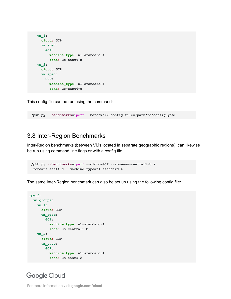```
 vm_1:
  cloud: GCP
  vm_spec:
    GCP:
      machine_type: n1-standard-4
       zone: us-east4-b
 vm_2:
  cloud: GCP
  vm_spec:
    GCP:
       machine_type: n1-standard-4
       zone: us-east4-c
```
This config file can be run using the command:

**./pkb.py --benchmarks=iperf --benchmark\_config\_file=/path/to/config.yaml**

#### <span id="page-13-0"></span>3.8 Inter-Region Benchmarks

Inter-Region benchmarks (between VMs located in separate geographic regions), can likewise be run using command line flags or with a config file.

```
./pkb.py --benchmarks=iperf --cloud=GCP --zone=us-central1-b \
--zone=us-east4-c --machine_type=n1-standard-4
```
The same Inter-Region benchmark can also be set up using the following config file:

```
iperf:
  vm_groups:
     vm_1:
      cloud: GCP
      vm_spec:
         GCP:
           machine_type: n1-standard-4
           zone: us-central1-b
     vm_2:
       cloud: GCP
       vm_spec:
         GCP:
           machine_type: n1-standard-4
           zone: us-east4-c
```
#### **Google Cloud**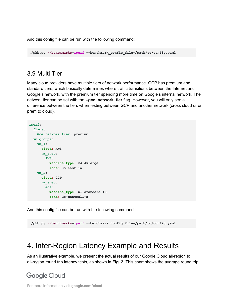And this config file can be run with the following command:

**./pkb.py --benchmarks=iperf --benchmark\_config\_file=/path/to/config.yaml**

#### <span id="page-14-0"></span>3.9 Multi Tier

Many cloud providers have multiple tiers of network performance. GCP has premium and standard tiers, which basically determines where traffic transitions between the Internet and Google's network, with the premium tier spending more time on Google's internal network. The network tier can be set with the **--gce\_network\_tier** flag. However, you will only see a difference between the tiers when testing between GCP and another network (cross cloud or on prem to cloud).

```
iperf:
  flags:
    Gce_network_tier: premium
  vm_groups:
    vm_1:
      cloud: AWS
       vm_spec:
        AWS:
           machine_type: m4.4xlarge
           zone: us-east-1a
     vm_2:
       cloud: GCP
       vm_spec:
         GCP:
           machine_type: n1-standard-16
           zone: us-central1-a
```
And this config file can be run with the following command:

**./pkb.py --benchmarks=iperf --benchmark\_config\_file=/path/to/config.yaml**

# <span id="page-14-1"></span>4. Inter-Region Latency Example and Results

As an illustrative example, we present the actual results of our Google Cloud all-region to all-region round trip latency tests, as shown in **Fig. 2.** This chart shows the average round trip

### **Google Cloud**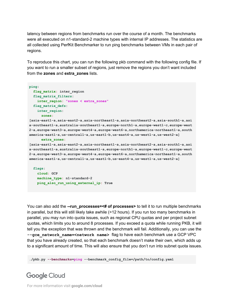latency between regions from benchmarks run over the course of a month. The benchmarks were all executed on n1-standard-2 machine types with internal IP addresses. The statistics are all collected using PerfKit Benchmarker to run ping benchmarks between VMs in each pair of regions.

To reproduce this chart, you can run the following pkb command with the following config file. If you want to run a smaller subset of regions, just remove the regions you don't want included from the **zones** and **extra\_zones** lists.

```
ping:
  flag_matrix: inter_region
  flag_matrix_filters:
    inter_region: "zones < extra_zones"
  flag_matrix_defs:
    inter_region:
       zones:
[asia-east1-a,asia-east2-a,asia-northeast1-a,asia-northeast2-a,asia-south1-a,asi
a-southeast1-a,australia-southeast1-a,europe-north1-a,europe-west1-c,europe-west
2-a,europe-west3-a,europe-west4-a,europe-west6-a,northamerica-northeast1-a,south
america-east1-a,us-central1-a,us-east1-b,us-east4-a,us-west1-a,us-west2-a]
       extra_zones:
[asia-east1-a,asia-east2-a,asia-northeast1-a,asia-northeast2-a,asia-south1-a,asi
a-southeast1-a,australia-southeast1-a,europe-north1-a,europe-west1-c,europe-west
2-a,europe-west3-a,europe-west4-a,europe-west6-a,northamerica-northeast1-a,south
america-east1-a,us-central1-a,us-east1-b,us-east4-a,us-west1-a,us-west2-a]
   flags:
     cloud: GCP
    machine_type: n1-standard-2
```
You can also add the **--run\_processes=<# of processes>** to tell it to run multiple benchmarks in parallel, but this will still likely take awhile (>12 hours). If you run too many benchmarks in parallel, you may run into quota issues, such as regional CPU quotas and per project subnet quotas, which limits you to around 8 processes. If you exceed a quota while running PKB, it will tell you the exception that was thrown and the benchmark will fail. Additionally, you can use the **--gce\_network\_name=<network name>** flag to have each benchmark use a GCP VPC that you have already created, so that each benchmark doesn't make their own, which adds up to a significant amount of time. This will also ensure that you don't run into subnet quota issues.

**./pkb.py --benchmarks=ping --benchmark\_config\_file=/path/to/config.yaml**

### **Google Cloud**

For more information visit **google.com/cloud**

 **ping\_also\_run\_using\_external\_ip: True**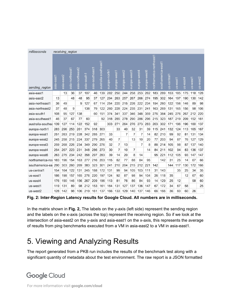| milliseconds      |            |            | receiving region |                 |             |                 |                      |               |                |                |                |              |              |                         |                    |             |          |                  |          |          |
|-------------------|------------|------------|------------------|-----------------|-------------|-----------------|----------------------|---------------|----------------|----------------|----------------|--------------|--------------|-------------------------|--------------------|-------------|----------|------------------|----------|----------|
| sending region    | asia-east1 | asia-east2 | asia-northeast1  | asia-northeast2 | asia-south1 | asia-southeast1 | australia-southeast1 | europe-north1 | europe-west1   | europe-west2   | europe-west3   | europe-west4 | europe-west6 | northamerica-northeast1 | southamerica-east1 | us-central1 | us-east1 | us-eas <u>t4</u> | us-west1 | us-west2 |
| asia-east1        |            | 13         | 36               | 37              | 107         | 46              | 139                  | 282           | 250            | 244            | 258            | 253          | 262          | 183                     | 289                | 153         | 185      | 175              | 118      | 128      |
| asia-east2        | 13         |            | 48               | 48              | 95          | 37              | 127                  | 294           | 263            | 257            | 267            | 266          | 274          | 195                     | 302                | 164         | 197      | 190              | 130      | 142      |
| asia-northeast1   | 36         | 49         |                  | 9               | 127         | 67              | 114                  | 254           | 220            | 215            | 226            | 222          | 234          | 154                     | 260                | 122         | 156      | 146              | 89       | 98       |
| asia-northeast2   | 37         | 48         | 9                |                 | 138         | 79              | 122                  | 260           | 228            | 224            | 235            | 231          | 241          | 163                     | 269                | 131         | 165      | 156              | 98       | 106      |
| asia-south1       | 108        | 95         | 127              | 138             |             | 60              | 151                  | 374           | 341            | 337            | 346            | 348          | 359          | 276                     | 384                | 245         | 276      | 267              | 212      | 220      |
| asia-southeast1   | 46         | 37         | 67               | 77              | 60          |                 | 92                   | 318           | 285            | 278            | 290            | 286          | 296          | 215                     | 323                | 187         | 219      | 209              | 152      | 161      |
| australia-southea | 139        | 127        | 114              | 122             | 152         | 92              |                      | 303           | 271            | 264            | 276            | 273          | 283          | 203                     | 302                | 171         | 196      | 196              | 160      | 137      |
| europe-north1     | 283        | 296        | 253              | 261             | 374         | 318             | 303                  |               | 33             | 40             | 32             | 31           | 39           | 115                     | 241                | 132         | 124      | 113              | 165      | 167      |
| europe-west1      | 251        | 263        | 219              | 228             | 342         | 285             | 271                  | 33            |                | $\overline{7}$ | 7              | 7            | 14           | 82                      | 210                | 99          | 92       | 81               | 131      | 134      |
| europe-west2      | 245        | 258        | 215              | 224             | 337         | 279             | 265                  | 40            | $\overline{7}$ |                | 13             | 10           | 20           | 77                      | 203                | 94          | 87       | 76               | 127      | 129      |
| europe-west3      | 259        | 268        | 226              | 234             | 349         | 290             | 276                  | 32            | 7              | 13             |                | 7            | 8            | 88                      | 214                | 105         | 98       | 87               | 137      | 140      |
| europe-west4      | 254        | 267        | 223              | 231             | 348         | 286             | 273                  | 30            | $\overline{7}$ | 10             | $\overline{7}$ |              | 14           | 84                      | 211                | 102         | 94       | 83               | 136      | 137      |
| europe-west6      | 263        | 275        | 234              | 242             | 358         | 297             | 283                  | 39            | 14             | 20             | 8              | 14           |              | 95                      | 221                | 112         | 105      | 93               | 147      | 147      |
| northamerica-nor  | 183        | 196        | 154              | 163             | 277         | 216             | 203                  | 115           | 82             | 77             | 88             | 84           | 95           |                         | 142                | 31          | 25       | 14               | 67       | 66       |
| southamerica-ea   | 290        | 303        | 260              | 269             | 383         | 323             | 301                  | 241           | 210            | 204            | 215            | 212          | 221          | 142                     |                    | 144         | 117      | 130              | 172      | 166      |
| us-central1       | 154        | 164        | 122              | 131             | 245         | 188             | 172                  | 131           | 99             | 94             | 105            | 103          | 111          | 31                      | 143                |             | 35       | 25               | 34       | 35       |
| us-east1          | 186        | 198        | 157              | 165             | 276         | 220             | 197                  | 124           | 92             | 87             | 98             | 94           | 104          | 26                      | 118                | 35          |          | 12               | 67       | 60       |
| us-east4          | 176        | 190        | 146              | 156             | 267         | 209             | 196                  | 113           | 81             | 76             | 86             | 84           | 93           | 14                      | 129                | 25          | 12       |                  | 58       | 60       |
| us-west1          | 119        | 131        | 89               | 98              | 212         | 153             | 161                  | 164           | 131            | 127            | 137            | 136          | 147          | 67                      | 172                | 34          | 67       | 58               |          | 25       |
| us-west2          | 128        | 142        | 98               | 106             | 219         | 161             | 137                  | 166           | 133            | 129            | 140            | 137          | 146          | 66                      | 166                | 36          | 60       | 60               | 26       |          |

**Fig. 2: Inter-Region Latency results for Google Cloud. All numbers are in milliseconds.**

In the matrix shown in **Fig. 2,** The labels on the y-axis (left side) represent the sending region and the labels on the x-axis (across the top) represent the receiving region. So if we look at the intersection of asia-east2 on the y-axis and asia-east1 on the x-axis, this represents the average of results from ping benchmarks executed from a VM in asia-east2 to a VM in asia-east1.

# <span id="page-16-0"></span>5. Viewing and Analyzing Results

The report generated from a PKB run includes the results of the benchmark test along with a significant quantity of metadata about the test environment. The raw report is a JSON formatted

# **Google Cloud**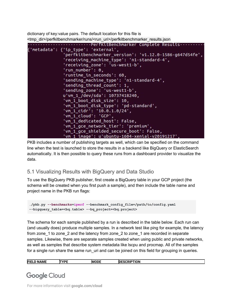dictionary of key:value pairs. The default location for this file is <tmp\_dir>/perfkitbenchmarker/runs/<run\_uri>/perfkitbenchmarker\_results.json



PKB includes a number of publishing targets as well, which can be specified on the command line when the test is launched to store the results in a backend like BigQuery or ElasticSearch automatically. It is then possible to query these runs from a dashboard provider to visualize the data.

#### <span id="page-17-0"></span>5.1 Visualizing Results with BigQuery and Data Studio

To use the BigQuery PKB publisher, first create a BigQuery table in your GCP project (the schema will be created when you first push a sample), and then include the table name and project name in the PKB run flags:

```
./pkb.py --benchmarks=iperf --benchmark_config_file=/path/to/config.yaml
--bigquery_table=<bq.table> --bq_project=<bq.project>
```
The schema for each sample published by a run is described in the table below. Each run can (and usually does) produce multiple samples. In a network test like ping for example, the latency from zone 1 to zone 2 and the latency from zone 2 to zone 1 are recorded in separate samples. Likewise, there are separate samples created when using public and private networks, as well as samples that describe system metadata like lscpu and procmap. All of the samples for a single run share the same run\_uri and can be joined on this field for grouping in queries.

| וחח<br><b>FIE</b><br>ıм<br>I ION<br>мн<br> |
|--------------------------------------------|
|--------------------------------------------|

**Google Cloud**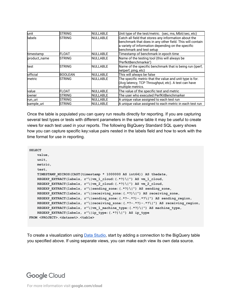| unit         | <b>STRING</b>  | <b>NULLABLE</b> | Unit type of the test/metric. (sec, ms, Mbit/sec, etc)                                                                                                                                               |
|--------------|----------------|-----------------|------------------------------------------------------------------------------------------------------------------------------------------------------------------------------------------------------|
| labels       | <b>STRING</b>  | <b>NULLABLE</b> | Catch all field that stores any information about the<br>benchmark that does in any other field. This will contain<br>a variety of information depending on the specific<br>benchmark and test setup |
| timestamp    | <b>FLOAT</b>   | <b>NULLABLE</b> | Timestamp of benchmark in epoch time                                                                                                                                                                 |
| product_name | <b>STRING</b>  | <b>NULLABLE</b> | Name of the testing tool (this will always be<br>'PerfkitBenchmarker')                                                                                                                               |
| test         | <b>STRING</b>  | <b>NULLABLE</b> | Name of the specific benchmark that is being run (iperf,<br>netperf, ping, etc)                                                                                                                      |
| official     | <b>BOOLEAN</b> | <b>NULLABLE</b> | This will always be false                                                                                                                                                                            |
| metric       | <b>STRING</b>  | <b>NULLABLE</b> | The specific metric that the value and unit type is for.<br>(Avg latency, TCP Throughput, etc). A test can have<br>multiple metrics.                                                                 |
| value        | <b>FLOAT</b>   | <b>NULLABLE</b> | The value of the specific test and metric                                                                                                                                                            |
| owner        | <b>STRING</b>  | <b>NULLABLE</b> | The user who executed PerfKitBenchmarker                                                                                                                                                             |
| run_uri      | STRING         | <b>NULLABLE</b> | A unique value assigned to each test run                                                                                                                                                             |
| sample_uri   | <b>STRING</b>  | <b>NULLABLE</b> | A unique value assigned to each metric in each test run                                                                                                                                              |

Once the table is populated you can query run results directly for reporting. If you are capturing several test types or tests with different parameters in the same table it may be useful to create views for each test used in your reports. The following BigQuery Standard SQL query shows how you can capture specific key:value pairs nested in the labels field and how to work with the time format for use in reporting.

```
SELECT
    value,
    unit,
    metric,
    test,
    TIMESTAMP_MICROS(CAST(timestamp * 1000000 AS int64)) AS thedate,
    REGEXP_EXTRACT(labels, r"\|vm_1_cloud:(.*?)\|") AS vm_1_cloud,
    REGEXP_EXTRACT(labels, r"\|vm_2_cloud:(.*?)\|") AS vm_2_cloud,
    REGEXP_EXTRACT(labels, r"\|sending_zone:(.*?)\|") AS sending_zone,
    REGEXP_EXTRACT(labels, r"\|receiving_zone:(.*?)\|") AS receiving_zone,
    REGEXP_EXTRACT(labels, r"\|sending_zone:(.*?-.*?)-.*?\|") AS sending_region,
    REGEXP_EXTRACT(labels, r"\|receiving_zone:(.*?-.*?)-.*?\|") AS receiving_region,
    REGEXP_EXTRACT(labels, r"\|vm_1_machine_type:(.*?)\|") AS machine_type,
    REGEXP_EXTRACT(labels, r"\|ip_type:(.*?)\|") AS ip_type
FROM <PROJECT>.<dataset>.<table>
```
To create a visualization using Data [Studio](https://datastudio.google.com/), start by adding a connection to the BigQuery table you specified above. If using separate views, you can make each view its own data source.

### **Google Cloud**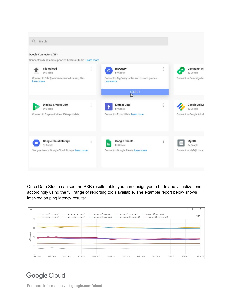

Once Data Studio can see the PKB results table, you can design your charts and visualizations accordingly using the full range of reporting tools available. The example report below shows inter-region ping latency results:



### **Google Cloud**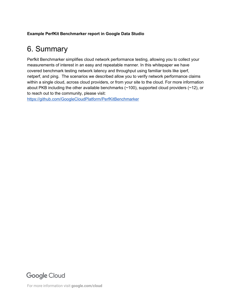#### <span id="page-20-0"></span>**Example PerfKit Benchmarker report in Google Data Studio**

# 6. Summary

Perfkit Benchmarker simplifies cloud network performance testing, allowing you to collect your measurements of interest in an easy and repeatable manner. In this whitepaper we have covered benchmark testing network latency and throughput using familiar tools like iperf, netperf, and ping. The scenarios we described allow you to verify network performance claims within a single cloud, across cloud providers, or from your site to the cloud. For more information about PKB including the other available benchmarks (~100), supported cloud providers (~12), or to reach out to the community, please visit:

<https://github.com/GoogleCloudPlatform/PerfKitBenchmarker>

### **Google Cloud**